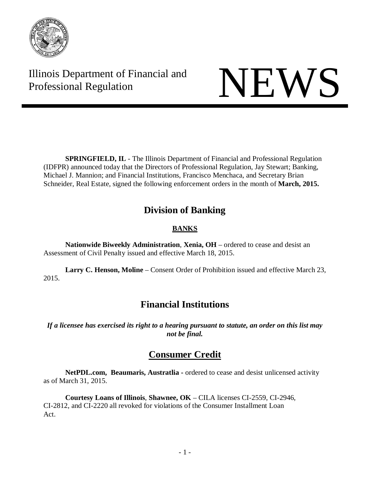

Illinois Department of Financial and

# Illinois Department of Financial and<br>Professional Regulation NEWS

**SPRINGFIELD, IL** - The Illinois Department of Financial and Professional Regulation (IDFPR) announced today that the Directors of Professional Regulation, Jay Stewart; Banking, Michael J. Mannion; and Financial Institutions, Francisco Menchaca, and Secretary Brian Schneider, Real Estate, signed the following enforcement orders in the month of **March, 2015.**

## **Division of Banking**

### **BANKS**

**Nationwide Biweekly Administration**, **Xenia, OH** – ordered to cease and desist an Assessment of Civil Penalty issued and effective March 18, 2015.

**Larry C. Henson, Moline** – Consent Order of Prohibition issued and effective March 23, 2015.

# **Financial Institutions**

If a licensee has exercised its right to a hearing pursuant to statute, an order on this list may *not be final.* 

## **Consumer Credit**

**NetPDL.com, Beaumaris, Austratlia -** ordered to cease and desist unlicensed activity as of March 31, 2015.

**Courtesy Loans of Illinois**, **Shawnee, OK** – CILA licenses CI-2559, CI-2946, CI-2812, and CI-2220 all revoked for violations of the Consumer Installment Loan Act.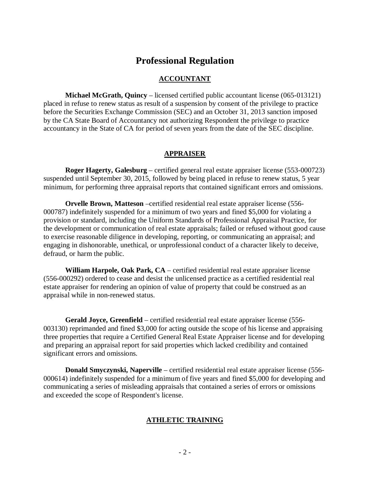## **Professional Regulation**

#### **ACCOUNTANT**

**Michael McGrath, Quincy** – licensed certified public accountant license (065-013121) placed in refuse to renew status as result of a suspension by consent of the privilege to practice before the Securities Exchange Commission (SEC) and an October 31, 2013 sanction imposed by the CA State Board of Accountancy not authorizing Respondent the privilege to practice accountancy in the State of CA for period of seven years from the date of the SEC discipline.

#### **APPRAISER**

**Roger Hagerty, Galesburg** – certified general real estate appraiser license (553-000723) suspended until September 30, 2015, followed by being placed in refuse to renew status, 5 year minimum, for performing three appraisal reports that contained significant errors and omissions.

**Orvelle Brown, Matteson** –certified residential real estate appraiser license (556- 000787) indefinitely suspended for a minimum of two years and fined \$5,000 for violating a provision or standard, including the Uniform Standards of Professional Appraisal Practice, for the development or communication of real estate appraisals; failed or refused without good cause to exercise reasonable diligence in developing, reporting, or communicating an appraisal; and engaging in dishonorable, unethical, or unprofessional conduct of a character likely to deceive, defraud, or harm the public.

**William Harpole, Oak Park, CA** – certified residential real estate appraiser license (556-000292) ordered to cease and desist the unlicensed practice as a certified residential real estate appraiser for rendering an opinion of value of property that could be construed as an appraisal while in non-renewed status.

**Gerald Joyce, Greenfield** – certified residential real estate appraiser license (556- 003130) reprimanded and fined \$3,000 for acting outside the scope of his license and appraising three properties that require a Certified General Real Estate Appraiser license and for developing and preparing an appraisal report for said properties which lacked credibility and contained significant errors and omissions.

**Donald Smyczynski, Naperville** – certified residential real estate appraiser license (556- 000614) indefinitely suspended for a minimum of five years and fined \$5,000 for developing and communicating a series of misleading appraisals that contained a series of errors or omissions and exceeded the scope of Respondent's license.

#### **ATHLETIC TRAINING**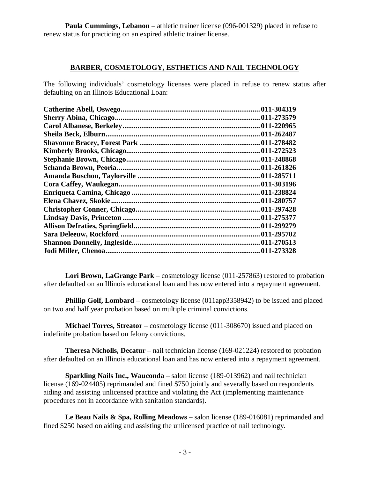**Paula Cummings, Lebanon** – athletic trainer license (096-001329) placed in refuse to renew status for practicing on an expired athletic trainer license.

#### **BARBER, COSMETOLOGY, ESTHETICS AND NAIL TECHNOLOGY**

The following individuals' cosmetology licenses were placed in refuse to renew status after defaulting on an Illinois Educational Loan:

| 011-304319  |
|-------------|
|             |
|             |
| .011-262487 |
|             |
|             |
| .011-248868 |
| 011-261826  |
| .011-285711 |
|             |
| .011-238824 |
|             |
|             |
|             |
|             |
|             |
|             |
| .011-273328 |
|             |

**Lori Brown, LaGrange Park** – cosmetology license (011-257863) restored to probation after defaulted on an Illinois educational loan and has now entered into a repayment agreement.

**Phillip Golf, Lombard** – cosmetology license (011app3358942) to be issued and placed on two and half year probation based on multiple criminal convictions.

**Michael Torres, Streator** – cosmetology license (011-308670) issued and placed on indefinite probation based on felony convictions.

**Theresa Nicholls, Decatur** – nail technician license (169-021224) restored to probation after defaulted on an Illinois educational loan and has now entered into a repayment agreement.

**Sparkling Nails Inc., Wauconda** – salon license (189-013962) and nail technician license (169-024405) reprimanded and fined \$750 jointly and severally based on respondents aiding and assisting unlicensed practice and violating the Act (implementing maintenance procedures not in accordance with sanitation standards).

**Le Beau Nails & Spa, Rolling Meadows** – salon license (189-016081) reprimanded and fined \$250 based on aiding and assisting the unlicensed practice of nail technology.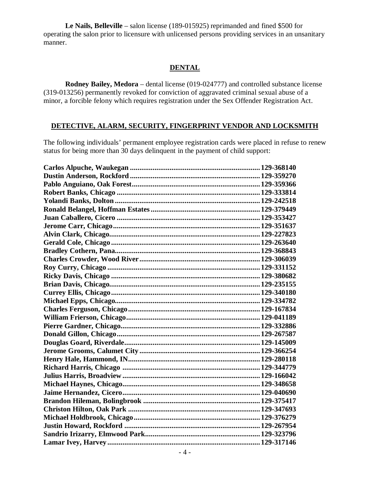**Le Nails, Belleville** – salon license (189-015925) reprimanded and fined \$500 for operating the salon prior to licensure with unlicensed persons providing services in an unsanitary manner.

#### **DENTAL**

**Rodney Bailey, Medora** – dental license (019-024777) and controlled substance license (319-013256) permanently revoked for conviction of aggravated criminal sexual abuse of a minor, a forcible felony which requires registration under the Sex Offender Registration Act.

#### **DETECTIVE, ALARM, SECURITY, FINGERPRINT VENDOR AND LOCKSMITH**

The following individuals' permanent employee registration cards were placed in refuse to renew status for being more than 30 days delinquent in the payment of child support: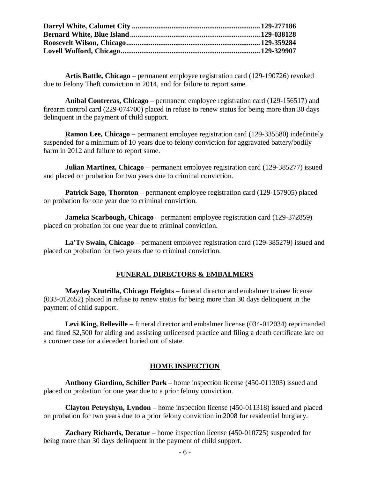**Artis Battle, Chicago** – permanent employee registration card (129-190726) revoked due to Felony Theft conviction in 2014, and for failure to report same.

**Anibal Contreras, Chicago** – permanent employee registration card (129-156517) and firearm control card (229-074700) placed in refuse to renew status for being more than 30 days delinquent in the payment of child support.

**Ramon Lee, Chicago** – permanent employee registration card (129-335580) indefinitely suspended for a minimum of 10 years due to felony conviction for aggravated battery/bodily harm in 2012 and failure to report same.

**Julian Martinez, Chicago** – permanent employee registration card (129-385277) issued and placed on probation for two years due to criminal conviction.

**Patrick Sago, Thornton** – permanent employee registration card (129-157905) placed on probation for one year due to criminal conviction.

**Jameka Scarbough, Chicago** – permanent employee registration card (129-372859) placed on probation for one year due to criminal conviction.

**La'Ty Swain, Chicago** – permanent employee registration card (129-385279) issued and placed on probation for two years due to criminal conviction.

#### **FUNERAL DIRECTORS & EMBALMERS**

**Mayday Xtutrilla, Chicago Heights** – funeral director and embalmer trainee license (033-012652) placed in refuse to renew status for being more than 30 days delinquent in the payment of child support.

**Levi King, Belleville** – funeral director and embalmer license (034-012034) reprimanded and fined \$2,500 for aiding and assisting unlicensed practice and filing a death certificate late on a coroner case for a decedent buried out of state.

#### **HOME INSPECTION**

**Anthony Giardino, Schiller Park** – home inspection license (450-011303) issued and placed on probation for one year due to a prior felony conviction.

**Clayton Petryshyn, Lyndon** – home inspection license (450-011318) issued and placed on probation for two years due to a prior felony conviction in 2008 for residential burglary.

**Zachary Richards, Decatur** – home inspection license (450-010725) suspended for being more than 30 days delinquent in the payment of child support.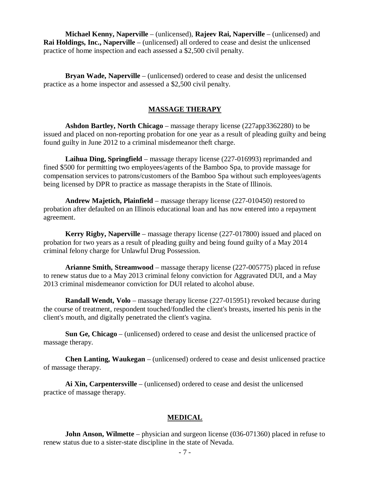**Michael Kenny, Naperville** – (unlicensed), **Rajeev Rai, Naperville** – (unlicensed) and **Rai Holdings, Inc., Naperville** – (unlicensed) all ordered to cease and desist the unlicensed practice of home inspection and each assessed a \$2,500 civil penalty.

**Bryan Wade, Naperville** – (unlicensed) ordered to cease and desist the unlicensed practice as a home inspector and assessed a \$2,500 civil penalty.

#### **MASSAGE THERAPY**

**Ashdon Bartley, North Chicago** – massage therapy license (227app3362280) to be issued and placed on non-reporting probation for one year as a result of pleading guilty and being found guilty in June 2012 to a criminal misdemeanor theft charge.

**Laihua Ding, Springfield** – massage therapy license (227-016993) reprimanded and fined \$500 for permitting two employees/agents of the Bamboo Spa, to provide massage for compensation services to patrons/customers of the Bamboo Spa without such employees/agents being licensed by DPR to practice as massage therapists in the State of Illinois.

**Andrew Majetich, Plainfield** – massage therapy license (227-010450) restored to probation after defaulted on an Illinois educational loan and has now entered into a repayment agreement.

**Kerry Rigby, Naperville** – massage therapy license (227-017800) issued and placed on probation for two years as a result of pleading guilty and being found guilty of a May 2014 criminal felony charge for Unlawful Drug Possession.

**Arianne Smith, Streamwood** – massage therapy license (227-005775) placed in refuse to renew status due to a May 2013 criminal felony conviction for Aggravated DUI, and a May 2013 criminal misdemeanor conviction for DUI related to alcohol abuse.

**Randall Wendt, Volo** – massage therapy license (227-015951) revoked because during the course of treatment, respondent touched/fondled the client's breasts, inserted his penis in the client's mouth, and digitally penetrated the client's vagina.

**Sun Ge, Chicago** – (unlicensed) ordered to cease and desist the unlicensed practice of massage therapy.

**Chen Lanting, Waukegan** – (unlicensed) ordered to cease and desist unlicensed practice of massage therapy.

**Ai Xin, Carpentersville** – (unlicensed) ordered to cease and desist the unlicensed practice of massage therapy.

#### **MEDICAL**

**John Anson, Wilmette** – physician and surgeon license (036-071360) placed in refuse to renew status due to a sister-state discipline in the state of Nevada.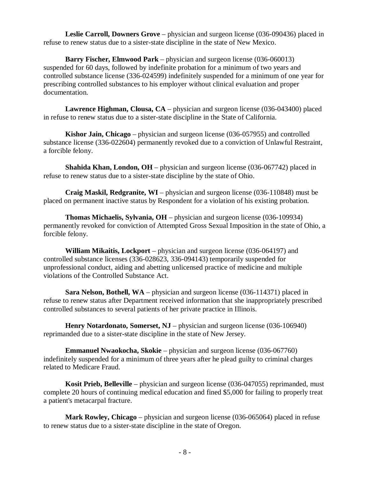**Leslie Carroll, Downers Grove** – physician and surgeon license (036-090436) placed in refuse to renew status due to a sister-state discipline in the state of New Mexico.

**Barry Fischer, Elmwood Park** – physician and surgeon license (036-060013) suspended for 60 days, followed by indefinite probation for a minimum of two years and controlled substance license (336-024599) indefinitely suspended for a minimum of one year for prescribing controlled substances to his employer without clinical evaluation and proper documentation.

**Lawrence Highman, Clousa, CA** – physician and surgeon license (036-043400) placed in refuse to renew status due to a sister-state discipline in the State of California.

**Kishor Jain, Chicago** – physician and surgeon license (036-057955) and controlled substance license (336-022604) permanently revoked due to a conviction of Unlawful Restraint, a forcible felony.

**Shahida Khan, London, OH** – physician and surgeon license (036-067742) placed in refuse to renew status due to a sister-state discipline by the state of Ohio.

**Craig Maskil, Redgranite, WI** – physician and surgeon license (036-110848) must be placed on permanent inactive status by Respondent for a violation of his existing probation.

**Thomas Michaelis, Sylvania, OH** – physician and surgeon license (036-109934) permanently revoked for conviction of Attempted Gross Sexual Imposition in the state of Ohio, a forcible felony.

**William Mikaitis, Lockport** – physician and surgeon license (036-064197) and controlled substance licenses (336-028623, 336-094143) temporarily suspended for unprofessional conduct, aiding and abetting unlicensed practice of medicine and multiple violations of the Controlled Substance Act.

**Sara Nelson, Bothell, WA** – physician and surgeon license (036-114371) placed in refuse to renew status after Department received information that she inappropriately prescribed controlled substances to several patients of her private practice in Illinois.

**Henry Notardonato, Somerset, NJ** – physician and surgeon license (036-106940) reprimanded due to a sister-state discipline in the state of New Jersey.

**Emmanuel Nwaokocha, Skokie** – physician and surgeon license (036-067760) indefinitely suspended for a minimum of three years after he plead guilty to criminal charges related to Medicare Fraud.

**Kosit Prieb, Belleville** – physician and surgeon license (036-047055) reprimanded, must complete 20 hours of continuing medical education and fined \$5,000 for failing to properly treat a patient's metacarpal fracture.

**Mark Rowley, Chicago** – physician and surgeon license (036-065064) placed in refuse to renew status due to a sister-state discipline in the state of Oregon.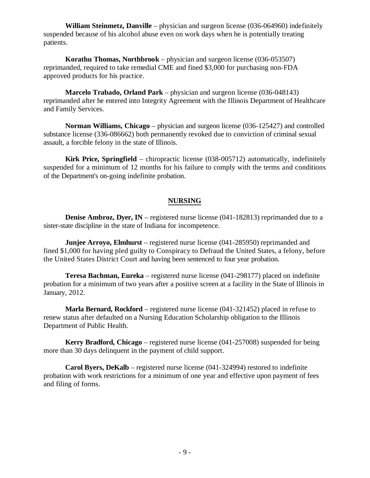**William Steinmetz, Danville** – physician and surgeon license (036-064960) indefinitely suspended because of his alcohol abuse even on work days when he is potentially treating patients.

**Korathu Thomas, Northbrook** – physician and surgeon license (036-053507) reprimanded, required to take remedial CME and fined \$3,000 for purchasing non-FDA approved products for his practice.

**Marcelo Trabado, Orland Park** – physician and surgeon license (036-048143) reprimanded after he entered into Integrity Agreement with the Illinois Department of Healthcare and Family Services.

**Norman Williams, Chicago** – physician and surgeon license (036-125427) and controlled substance license (336-086662) both permanently revoked due to conviction of criminal sexual assault, a forcible felony in the state of Illinois.

**Kirk Price, Springfield** – chiropractic license (038-005712) automatically, indefinitely suspended for a minimum of 12 months for his failure to comply with the terms and conditions of the Department's on-going indefinite probation.

#### **NURSING**

**Denise Ambroz, Dyer, IN** – registered nurse license (041-182813) reprimanded due to a sister-state discipline in the state of Indiana for incompetence.

**Junjee Arroyo, Elmhurst** – registered nurse license (041-285950) reprimanded and fined \$1,000 for having pled guilty to Conspiracy to Defraud the United States, a felony, before the United States District Court and having been sentenced to four year probation.

**Teresa Bachman, Eureka** – registered nurse license (041-298177) placed on indefinite probation for a minimum of two years after a positive screen at a facility in the State of Illinois in January, 2012.

**Marla Bernard, Rockford** – registered nurse license (041-321452) placed in refuse to renew status after defaulted on a Nursing Education Scholarship obligation to the Illinois Department of Public Health.

**Kerry Bradford, Chicago** – registered nurse license (041-257008) suspended for being more than 30 days delinquent in the payment of child support.

**Carol Byers, DeKalb** – registered nurse license (041-324994) restored to indefinite probation with work restrictions for a minimum of one year and effective upon payment of fees and filing of forms.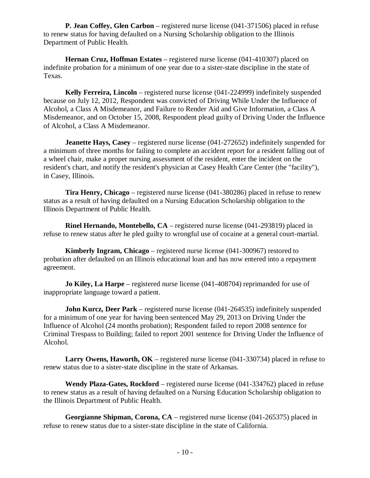**P. Jean Coffey, Glen Carbon** – registered nurse license (041-371506) placed in refuse to renew status for having defaulted on a Nursing Scholarship obligation to the Illinois Department of Public Health.

**Hernan Cruz, Hoffman Estates** – registered nurse license (041-410307) placed on indefinite probation for a minimum of one year due to a sister-state discipline in the state of Texas.

**Kelly Ferreira, Lincoln** – registered nurse license (041-224999) indefinitely suspended because on July 12, 2012, Respondent was convicted of Driving While Under the Influence of Alcohol, a Class A Misdemeanor, and Failure to Render Aid and Give Information, a Class A Misdemeanor, and on October 15, 2008, Respondent plead guilty of Driving Under the Influence of Alcohol, a Class A Misdemeanor.

**Jeanette Hays, Casey** – registered nurse license (041-272652) indefinitely suspended for a minimum of three months for failing to complete an accident report for a resident falling out of a wheel chair, make a proper nursing assessment of the resident, enter the incident on the resident's chart, and notify the resident's physician at Casey Health Care Center (the "facility"), in Casey, Illinois.

**Tira Henry, Chicago** – registered nurse license (041-380286) placed in refuse to renew status as a result of having defaulted on a Nursing Education Scholarship obligation to the Illinois Department of Public Health.

**Rinel Hernando, Montebello, CA** – registered nurse license (041-293819) placed in refuse to renew status after he pled guilty to wrongful use of cocaine at a general court-martial.

**Kimberly Ingram, Chicago** – registered nurse license (041-300967) restored to probation after defaulted on an Illinois educational loan and has now entered into a repayment agreement.

**Jo Kiley, La Harpe** – registered nurse license (041-408704) reprimanded for use of inappropriate language toward a patient.

**John Kurcz, Deer Park** – registered nurse license (041-264535) indefinitely suspended for a minimum of one year for having been sentenced May 29, 2013 on Driving Under the Influence of Alcohol (24 months probation); Respondent failed to report 2008 sentence for Criminal Trespass to Building; failed to report 2001 sentence for Driving Under the Influence of Alcohol.

**Larry Owens, Haworth, OK** – registered nurse license (041-330734) placed in refuse to renew status due to a sister-state discipline in the state of Arkansas.

**Wendy Plaza-Gates, Rockford** – registered nurse license (041-334762) placed in refuse to renew status as a result of having defaulted on a Nursing Education Scholarship obligation to the Illinois Department of Public Health.

**Georgianne Shipman, Corona, CA** – registered nurse license (041-265375) placed in refuse to renew status due to a sister-state discipline in the state of California.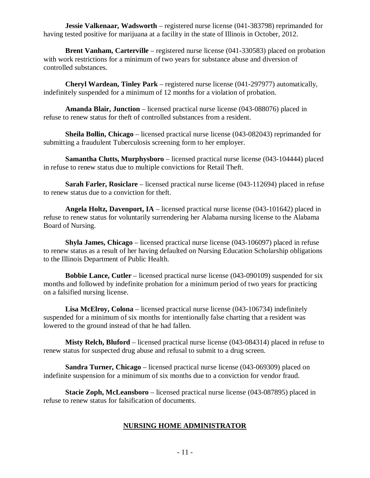**Jessie Valkenaar, Wadsworth** – registered nurse license (041-383798) reprimanded for having tested positive for marijuana at a facility in the state of Illinois in October, 2012.

**Brent Vanham, Carterville** – registered nurse license (041-330583) placed on probation with work restrictions for a minimum of two years for substance abuse and diversion of controlled substances.

**Cheryl Wardean, Tinley Park** – registered nurse license (041-297977) automatically, indefinitely suspended for a minimum of 12 months for a violation of probation.

**Amanda Blair, Junction** – licensed practical nurse license (043-088076) placed in refuse to renew status for theft of controlled substances from a resident.

**Sheila Bollin, Chicago** – licensed practical nurse license (043-082043) reprimanded for submitting a fraudulent Tuberculosis screening form to her employer.

**Samantha Clutts, Murphysboro** – licensed practical nurse license (043-104444) placed in refuse to renew status due to multiple convictions for Retail Theft.

**Sarah Farler, Rosiclare** – licensed practical nurse license (043-112694) placed in refuse to renew status due to a conviction for theft.

**Angela Holtz, Davenport, IA** – licensed practical nurse license (043-101642) placed in refuse to renew status for voluntarily surrendering her Alabama nursing license to the Alabama Board of Nursing.

**Shyla James, Chicago** – licensed practical nurse license (043-106097) placed in refuse to renew status as a result of her having defaulted on Nursing Education Scholarship obligations to the Illinois Department of Public Health.

**Bobbie Lance, Cutler** – licensed practical nurse license (043-090109) suspended for six months and followed by indefinite probation for a minimum period of two years for practicing on a falsified nursing license.

**Lisa McElroy, Colona** – licensed practical nurse license (043-106734) indefinitely suspended for a minimum of six months for intentionally false charting that a resident was lowered to the ground instead of that he had fallen.

**Misty Relch, Bluford** – licensed practical nurse license (043-084314) placed in refuse to renew status for suspected drug abuse and refusal to submit to a drug screen.

**Sandra Turner, Chicago** – licensed practical nurse license (043-069309) placed on indefinite suspension for a minimum of six months due to a conviction for vendor fraud.

**Stacie Zoph, McLeansboro** – licensed practical nurse license (043-087895) placed in refuse to renew status for falsification of documents.

#### **NURSING HOME ADMINISTRATOR**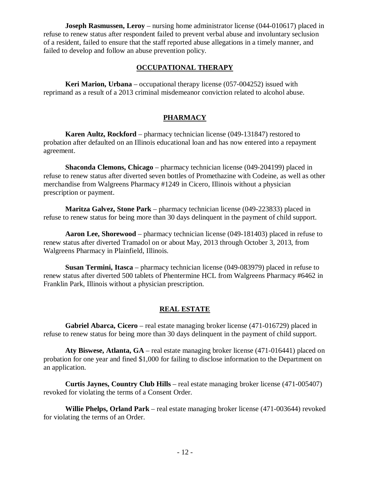**Joseph Rasmussen, Leroy** – nursing home administrator license (044-010617) placed in refuse to renew status after respondent failed to prevent verbal abuse and involuntary seclusion of a resident, failed to ensure that the staff reported abuse allegations in a timely manner, and failed to develop and follow an abuse prevention policy.

#### **OCCUPATIONAL THERAPY**

**Keri Marion, Urbana** – occupational therapy license (057-004252) issued with reprimand as a result of a 2013 criminal misdemeanor conviction related to alcohol abuse.

#### **PHARMACY**

**Karen Aultz, Rockford** – pharmacy technician license (049-131847) restored to probation after defaulted on an Illinois educational loan and has now entered into a repayment agreement.

**Shaconda Clemons, Chicago** – pharmacy technician license (049-204199) placed in refuse to renew status after diverted seven bottles of Promethazine with Codeine, as well as other merchandise from Walgreens Pharmacy #1249 in Cicero, Illinois without a physician prescription or payment.

**Maritza Galvez, Stone Park** – pharmacy technician license (049-223833) placed in refuse to renew status for being more than 30 days delinquent in the payment of child support.

**Aaron Lee, Shorewood** – pharmacy technician license (049-181403) placed in refuse to renew status after diverted Tramadol on or about May, 2013 through October 3, 2013, from Walgreens Pharmacy in Plainfield, Illinois.

**Susan Termini, Itasca** – pharmacy technician license (049-083979) placed in refuse to renew status after diverted 500 tablets of Phentermine HCL from Walgreens Pharmacy #6462 in Franklin Park, Illinois without a physician prescription.

#### **REAL ESTATE**

**Gabriel Abarca, Cicero** – real estate managing broker license (471-016729) placed in refuse to renew status for being more than 30 days delinquent in the payment of child support.

**Aty Biswese, Atlanta, GA** – real estate managing broker license (471-016441) placed on probation for one year and fined \$1,000 for failing to disclose information to the Department on an application.

**Curtis Jaynes, Country Club Hills** – real estate managing broker license (471-005407) revoked for violating the terms of a Consent Order.

**Willie Phelps, Orland Park** – real estate managing broker license (471-003644) revoked for violating the terms of an Order.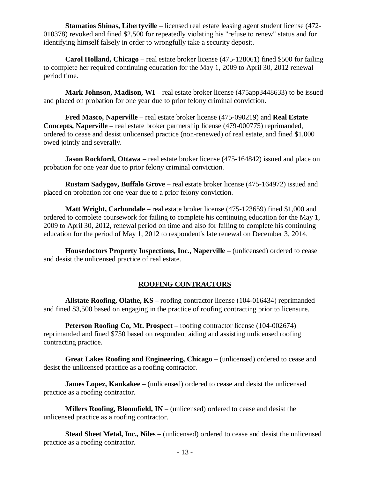**Stamatios Shinas, Libe**r**tyville** – licensed real estate leasing agent student license (472- 010378) revoked and fined \$2,500 for repeatedly violating his "refuse to renew" status and for identifying himself falsely in order to wrongfully take a security deposit.

**Carol Holland, Chicago** – real estate broker license (475-128061) fined \$500 for failing to complete her required continuing education for the May 1, 2009 to April 30, 2012 renewal period time.

**Mark Johnson, Madison, WI** – real estate broker license (475app3448633) to be issued and placed on probation for one year due to prior felony criminal conviction.

**Fred Masco, Naperville** – real estate broker license (475-090219) and **Real Estate Concepts, Naperville** – real estate broker partnership license (479-000775) reprimanded, ordered to cease and desist unlicensed practice (non-renewed) of real estate, and fined \$1,000 owed jointly and severally.

**Jason Rockford, Ottawa** – real estate broker license (475-164842) issued and place on probation for one year due to prior felony criminal conviction.

**Rustam Sadygov, Buffalo Grove** – real estate broker license (475-164972) issued and placed on probation for one year due to a prior felony conviction.

**Matt Wright, Carbondale** – real estate broker license (475-123659) fined \$1,000 and ordered to complete coursework for failing to complete his continuing education for the May 1, 2009 to April 30, 2012, renewal period on time and also for failing to complete his continuing education for the period of May 1, 2012 to respondent's late renewal on December 3, 2014.

**Housedoctors Property Inspections, Inc., Naperville** – (unlicensed) ordered to cease and desist the unlicensed practice of real estate.

#### **ROOFING CONTRACTORS**

**Allstate Roofing, Olathe, KS** – roofing contractor license (104-016434) reprimanded and fined \$3,500 based on engaging in the practice of roofing contracting prior to licensure.

**Peterson Roofing Co, Mt. Prospect** – roofing contractor license (104-002674) reprimanded and fined \$750 based on respondent aiding and assisting unlicensed roofing contracting practice.

**Great Lakes Roofing and Engineering, Chicago** – (unlicensed) ordered to cease and desist the unlicensed practice as a roofing contractor.

**James Lopez, Kankakee** – (unlicensed) ordered to cease and desist the unlicensed practice as a roofing contractor.

**Millers Roofing, Bloomfield, IN** – (unlicensed) ordered to cease and desist the unlicensed practice as a roofing contractor.

**Stead Sheet Metal, Inc., Niles** – (unlicensed) ordered to cease and desist the unlicensed practice as a roofing contractor.